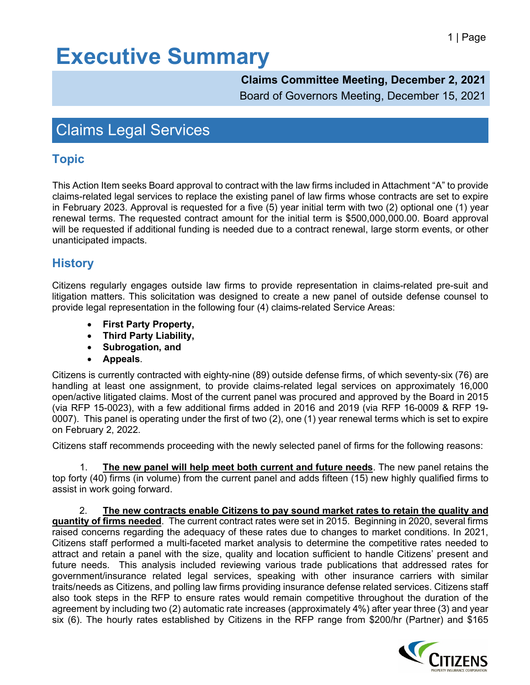## **Executive Summary**

#### **Claims Committee Meeting, December 2, 2021**

Board of Governors Meeting, December 15, 2021

## Claims Legal Services

## **Topic**

This Action Item seeks Board approval to contract with the law firms included in Attachment "A" to provide claims-related legal services to replace the existing panel of law firms whose contracts are set to expire in February 2023. Approval is requested for a five (5) year initial term with two (2) optional one (1) year renewal terms. The requested contract amount for the initial term is \$500,000,000.00. Board approval will be requested if additional funding is needed due to a contract renewal, large storm events, or other unanticipated impacts.

### **History**

Citizens regularly engages outside law firms to provide representation in claims-related pre-suit and litigation matters. This solicitation was designed to create a new panel of outside defense counsel to provide legal representation in the following four (4) claims-related Service Areas:

- **First Party Property,**
- **Third Party Liability,**
- **Subrogation, and**
- **Appeals**.

Citizens is currently contracted with eighty-nine (89) outside defense firms, of which seventy-six (76) are handling at least one assignment, to provide claims-related legal services on approximately 16,000 open/active litigated claims. Most of the current panel was procured and approved by the Board in 2015 (via RFP 15-0023), with a few additional firms added in 2016 and 2019 (via RFP 16-0009 & RFP 19- 0007). This panel is operating under the first of two (2), one (1) year renewal terms which is set to expire on February 2, 2022.

Citizens staff recommends proceeding with the newly selected panel of firms for the following reasons:

1. **The new panel will help meet both current and future needs**. The new panel retains the top forty (40) firms (in volume) from the current panel and adds fifteen (15) new highly qualified firms to assist in work going forward.

2. **The new contracts enable Citizens to pay sound market rates to retain the quality and quantity of firms needed**. The current contract rates were set in 2015. Beginning in 2020, several firms raised concerns regarding the adequacy of these rates due to changes to market conditions. In 2021, Citizens staff performed a multi-faceted market analysis to determine the competitive rates needed to attract and retain a panel with the size, quality and location sufficient to handle Citizens' present and future needs. This analysis included reviewing various trade publications that addressed rates for government/insurance related legal services, speaking with other insurance carriers with similar traits/needs as Citizens, and polling law firms providing insurance defense related services. Citizens staff also took steps in the RFP to ensure rates would remain competitive throughout the duration of the agreement by including two (2) automatic rate increases (approximately 4%) after year three (3) and year six (6). The hourly rates established by Citizens in the RFP range from \$200/hr (Partner) and \$165

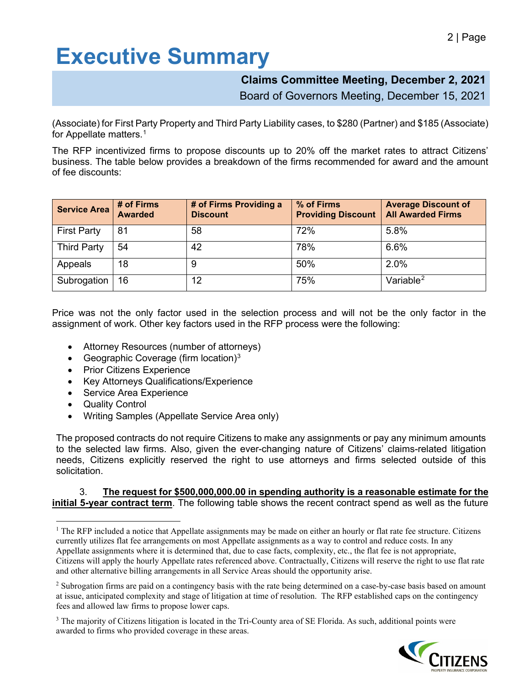# **Executive Summary**

#### **Claims Committee Meeting, December 2, 2021**

Board of Governors Meeting, December 15, 2021

(Associate) for First Party Property and Third Party Liability cases, to \$280 (Partner) and \$185 (Associate) for Appellate matters. $^{\rm 1}$  $^{\rm 1}$  $^{\rm 1}$ 

The RFP incentivized firms to propose discounts up to 20% off the market rates to attract Citizens' business. The table below provides a breakdown of the firms recommended for award and the amount of fee discounts:

| <b>Service Area</b> | # of Firms<br><b>Awarded</b> | # of Firms Providing a<br><b>Discount</b> | % of Firms<br><b>Providing Discount</b> | <b>Average Discount of</b><br><b>All Awarded Firms</b> |
|---------------------|------------------------------|-------------------------------------------|-----------------------------------------|--------------------------------------------------------|
| <b>First Party</b>  | 81                           | 58                                        | 72%                                     | 5.8%                                                   |
| <b>Third Party</b>  | 54                           | 42                                        | 78%                                     | 6.6%                                                   |
| Appeals             | 18                           | 9                                         | 50%                                     | 2.0%                                                   |
| Subrogation         | 16                           | 12                                        | 75%                                     | Variable $2$                                           |

Price was not the only factor used in the selection process and will not be the only factor in the assignment of work. Other key factors used in the RFP process were the following:

- Attorney Resources (number of attorneys)
- Geographic Coverage (firm location)[3](#page-1-2)
- Prior Citizens Experience
- Key Attorneys Qualifications/Experience
- Service Area Experience
- **Quality Control**
- Writing Samples (Appellate Service Area only)

The proposed contracts do not require Citizens to make any assignments or pay any minimum amounts to the selected law firms. Also, given the ever-changing nature of Citizens' claims-related litigation needs, Citizens explicitly reserved the right to use attorneys and firms selected outside of this solicitation.

#### 3. **The request for \$500,000,000.00 in spending authority is a reasonable estimate for the initial 5-year contract term**. The following table shows the recent contract spend as well as the future

<span id="page-1-2"></span><sup>&</sup>lt;sup>3</sup> The majority of Citizens litigation is located in the Tri-County area of SE Florida. As such, additional points were awarded to firms who provided coverage in these areas.



<span id="page-1-0"></span><sup>&</sup>lt;sup>1</sup> The RFP included a notice that Appellate assignments may be made on either an hourly or flat rate fee structure. Citizens currently utilizes flat fee arrangements on most Appellate assignments as a way to control and reduce costs. In any Appellate assignments where it is determined that, due to case facts, complexity, etc., the flat fee is not appropriate, Citizens will apply the hourly Appellate rates referenced above. Contractually, Citizens will reserve the right to use flat rate and other alternative billing arrangements in all Service Areas should the opportunity arise.

<span id="page-1-1"></span><sup>&</sup>lt;sup>2</sup> Subrogation firms are paid on a contingency basis with the rate being determined on a case-by-case basis based on amount at issue, anticipated complexity and stage of litigation at time of resolution. The RFP established caps on the contingency fees and allowed law firms to propose lower caps.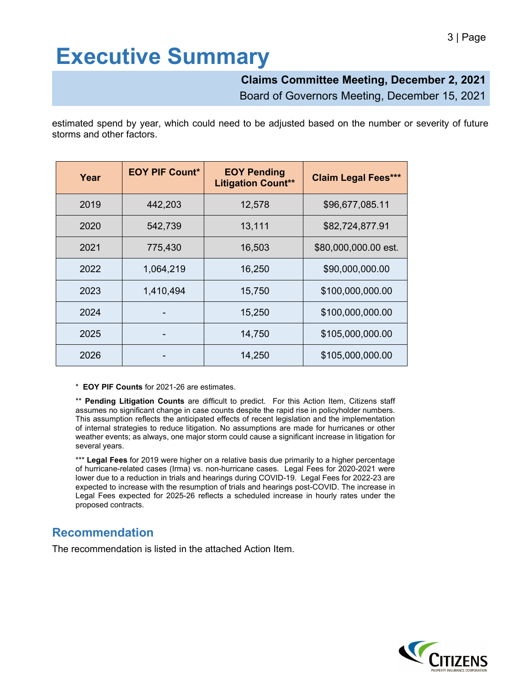## **Executive Summary**

#### **Claims Committee Meeting, December 2, 2021**

Board of Governors Meeting, December 15, 2021

estimated spend by year, which could need to be adjusted based on the number or severity of future storms and other factors.

| Year | <b>EOY PIF Count*</b> | <b>EOY Pending</b><br><b>Litigation Count**</b> | <b>Claim Legal Fees***</b> |
|------|-----------------------|-------------------------------------------------|----------------------------|
| 2019 | 442,203               | 12,578                                          | \$96,677,085.11            |
| 2020 | 542,739               | 13,111                                          | \$82,724,877.91            |
| 2021 | 775,430               | 16,503                                          | \$80,000,000.00 est.       |
| 2022 | 1,064,219             | 16,250                                          | \$90,000,000.00            |
| 2023 | 1,410,494             | 15,750                                          | \$100,000,000.00           |
| 2024 |                       | 15,250                                          | \$100,000,000.00           |
| 2025 |                       | 14,750                                          | \$105,000,000.00           |
| 2026 |                       | 14,250                                          | \$105,000,000.00           |

\* **EOY PIF Counts** for 2021-26 are estimates.

\*\* **Pending Litigation Counts** are difficult to predict. For this Action Item, Citizens staff assumes no significant change in case counts despite the rapid rise in policyholder numbers. This assumption reflects the anticipated effects of recent legislation and the implementation of internal strategies to reduce litigation. No assumptions are made for hurricanes or other weather events; as always, one major storm could cause a significant increase in litigation for several years.

\*\*\* **Legal Fees** for 2019 were higher on a relative basis due primarily to a higher percentage of hurricane-related cases (Irma) vs. non-hurricane cases. Legal Fees for 2020-2021 were lower due to a reduction in trials and hearings during COVID-19. Legal Fees for 2022-23 are expected to increase with the resumption of trials and hearings post-COVID. The increase in Legal Fees expected for 2025-26 reflects a scheduled increase in hourly rates under the proposed contracts.

### **Recommendation**

The recommendation is listed in the attached Action Item.

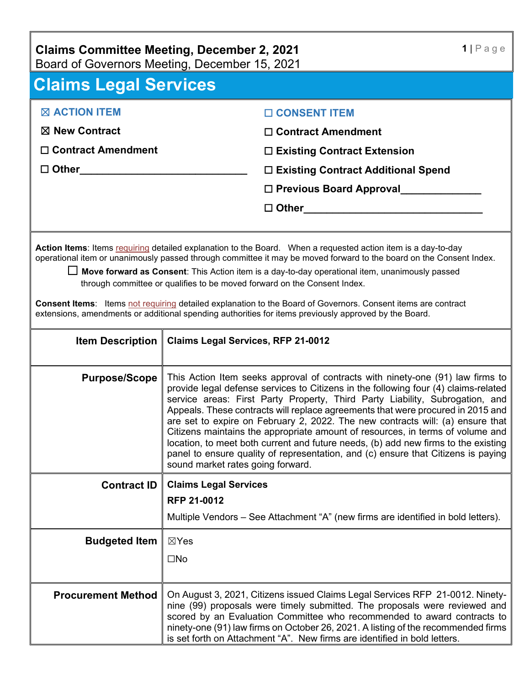## **Claims Committee Meeting, December 2, 2021**

Board of Governors Meeting, December 15, 2021

| <b>Claims Legal Services</b>                                                                                                                                                                                                                                                                                                                                                                                                                                                                                                                                                                                                                          |                                                                                                                                                                                                                                                                                                                                                                                                                                                                                                                                                                                                                                                                                                                              |  |  |  |
|-------------------------------------------------------------------------------------------------------------------------------------------------------------------------------------------------------------------------------------------------------------------------------------------------------------------------------------------------------------------------------------------------------------------------------------------------------------------------------------------------------------------------------------------------------------------------------------------------------------------------------------------------------|------------------------------------------------------------------------------------------------------------------------------------------------------------------------------------------------------------------------------------------------------------------------------------------------------------------------------------------------------------------------------------------------------------------------------------------------------------------------------------------------------------------------------------------------------------------------------------------------------------------------------------------------------------------------------------------------------------------------------|--|--|--|
| <b>X ACTION ITEM</b>                                                                                                                                                                                                                                                                                                                                                                                                                                                                                                                                                                                                                                  | □ CONSENT ITEM                                                                                                                                                                                                                                                                                                                                                                                                                                                                                                                                                                                                                                                                                                               |  |  |  |
| $\boxtimes$ New Contract                                                                                                                                                                                                                                                                                                                                                                                                                                                                                                                                                                                                                              | $\Box$ Contract Amendment                                                                                                                                                                                                                                                                                                                                                                                                                                                                                                                                                                                                                                                                                                    |  |  |  |
| $\Box$ Contract Amendment                                                                                                                                                                                                                                                                                                                                                                                                                                                                                                                                                                                                                             | $\Box$ Existing Contract Extension                                                                                                                                                                                                                                                                                                                                                                                                                                                                                                                                                                                                                                                                                           |  |  |  |
| $\square$ Other_____________                                                                                                                                                                                                                                                                                                                                                                                                                                                                                                                                                                                                                          | □ Existing Contract Additional Spend                                                                                                                                                                                                                                                                                                                                                                                                                                                                                                                                                                                                                                                                                         |  |  |  |
|                                                                                                                                                                                                                                                                                                                                                                                                                                                                                                                                                                                                                                                       |                                                                                                                                                                                                                                                                                                                                                                                                                                                                                                                                                                                                                                                                                                                              |  |  |  |
|                                                                                                                                                                                                                                                                                                                                                                                                                                                                                                                                                                                                                                                       | $\Box$ Other $\Box$                                                                                                                                                                                                                                                                                                                                                                                                                                                                                                                                                                                                                                                                                                          |  |  |  |
|                                                                                                                                                                                                                                                                                                                                                                                                                                                                                                                                                                                                                                                       |                                                                                                                                                                                                                                                                                                                                                                                                                                                                                                                                                                                                                                                                                                                              |  |  |  |
| Action Items: Items requiring detailed explanation to the Board. When a requested action item is a day-to-day<br>operational item or unanimously passed through committee it may be moved forward to the board on the Consent Index.<br>□ Move forward as Consent: This Action item is a day-to-day operational item, unanimously passed<br>through committee or qualifies to be moved forward on the Consent Index.<br><b>Consent Items:</b> Items not requiring detailed explanation to the Board of Governors. Consent items are contract<br>extensions, amendments or additional spending authorities for items previously approved by the Board. |                                                                                                                                                                                                                                                                                                                                                                                                                                                                                                                                                                                                                                                                                                                              |  |  |  |
| <b>Item Description</b>                                                                                                                                                                                                                                                                                                                                                                                                                                                                                                                                                                                                                               | <b>Claims Legal Services, RFP 21-0012</b>                                                                                                                                                                                                                                                                                                                                                                                                                                                                                                                                                                                                                                                                                    |  |  |  |
| <b>Purpose/Scope</b>                                                                                                                                                                                                                                                                                                                                                                                                                                                                                                                                                                                                                                  | This Action Item seeks approval of contracts with ninety-one (91) law firms to<br>provide legal defense services to Citizens in the following four (4) claims-related<br>service areas: First Party Property, Third Party Liability, Subrogation, and<br>Appeals. These contracts will replace agreements that were procured in 2015 and<br>are set to expire on February 2, 2022. The new contracts will: (a) ensure that<br>Citizens maintains the appropriate amount of resources, in terms of volume and<br>location, to meet both current and future needs, (b) add new firms to the existing<br>panel to ensure quality of representation, and (c) ensure that Citizens is paying<br>sound market rates going forward. |  |  |  |
| <b>Contract ID</b>                                                                                                                                                                                                                                                                                                                                                                                                                                                                                                                                                                                                                                    | <b>Claims Legal Services</b>                                                                                                                                                                                                                                                                                                                                                                                                                                                                                                                                                                                                                                                                                                 |  |  |  |
|                                                                                                                                                                                                                                                                                                                                                                                                                                                                                                                                                                                                                                                       | RFP 21-0012                                                                                                                                                                                                                                                                                                                                                                                                                                                                                                                                                                                                                                                                                                                  |  |  |  |
|                                                                                                                                                                                                                                                                                                                                                                                                                                                                                                                                                                                                                                                       | Multiple Vendors - See Attachment "A" (new firms are identified in bold letters).                                                                                                                                                                                                                                                                                                                                                                                                                                                                                                                                                                                                                                            |  |  |  |
| <b>Budgeted Item</b>                                                                                                                                                                                                                                                                                                                                                                                                                                                                                                                                                                                                                                  | $\boxtimes$ Yes                                                                                                                                                                                                                                                                                                                                                                                                                                                                                                                                                                                                                                                                                                              |  |  |  |
|                                                                                                                                                                                                                                                                                                                                                                                                                                                                                                                                                                                                                                                       | $\square$ No                                                                                                                                                                                                                                                                                                                                                                                                                                                                                                                                                                                                                                                                                                                 |  |  |  |
| <b>Procurement Method</b>                                                                                                                                                                                                                                                                                                                                                                                                                                                                                                                                                                                                                             | On August 3, 2021, Citizens issued Claims Legal Services RFP 21-0012. Ninety-<br>nine (99) proposals were timely submitted. The proposals were reviewed and<br>scored by an Evaluation Committee who recommended to award contracts to<br>ninety-one (91) law firms on October 26, 2021. A listing of the recommended firms<br>is set forth on Attachment "A". New firms are identified in bold letters.                                                                                                                                                                                                                                                                                                                     |  |  |  |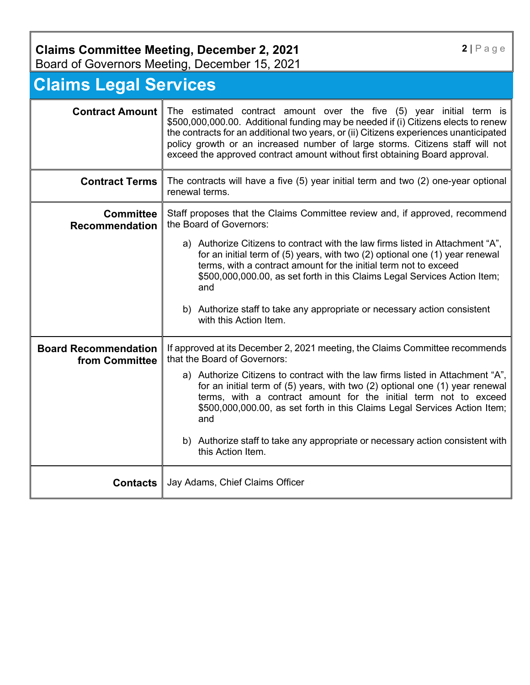## **Claims Committee Meeting, December 2, 2021**

Board of Governors Meeting, December 15, 2021

## **Claims Legal Services**

| <b>Contract Amount</b>                        | The estimated contract amount over the five (5) year initial term is<br>\$500,000,000.00. Additional funding may be needed if (i) Citizens elects to renew<br>the contracts for an additional two years, or (ii) Citizens experiences unanticipated<br>policy growth or an increased number of large storms. Citizens staff will not<br>exceed the approved contract amount without first obtaining Board approval. |  |  |
|-----------------------------------------------|---------------------------------------------------------------------------------------------------------------------------------------------------------------------------------------------------------------------------------------------------------------------------------------------------------------------------------------------------------------------------------------------------------------------|--|--|
| <b>Contract Terms</b>                         | The contracts will have a five (5) year initial term and two (2) one-year optional<br>renewal terms.                                                                                                                                                                                                                                                                                                                |  |  |
| <b>Committee</b><br><b>Recommendation</b>     | Staff proposes that the Claims Committee review and, if approved, recommend<br>the Board of Governors:                                                                                                                                                                                                                                                                                                              |  |  |
|                                               | a) Authorize Citizens to contract with the law firms listed in Attachment "A",<br>for an initial term of (5) years, with two (2) optional one (1) year renewal<br>terms, with a contract amount for the initial term not to exceed<br>\$500,000,000.00, as set forth in this Claims Legal Services Action Item;<br>and                                                                                              |  |  |
|                                               | b) Authorize staff to take any appropriate or necessary action consistent<br>with this Action Item.                                                                                                                                                                                                                                                                                                                 |  |  |
| <b>Board Recommendation</b><br>from Committee | If approved at its December 2, 2021 meeting, the Claims Committee recommends<br>that the Board of Governors:                                                                                                                                                                                                                                                                                                        |  |  |
|                                               | a) Authorize Citizens to contract with the law firms listed in Attachment "A",<br>for an initial term of (5) years, with two (2) optional one (1) year renewal<br>terms, with a contract amount for the initial term not to exceed<br>\$500,000,000.00, as set forth in this Claims Legal Services Action Item;<br>and                                                                                              |  |  |
|                                               | b) Authorize staff to take any appropriate or necessary action consistent with<br>this Action Item.                                                                                                                                                                                                                                                                                                                 |  |  |
| <b>Contacts</b>                               | Jay Adams, Chief Claims Officer                                                                                                                                                                                                                                                                                                                                                                                     |  |  |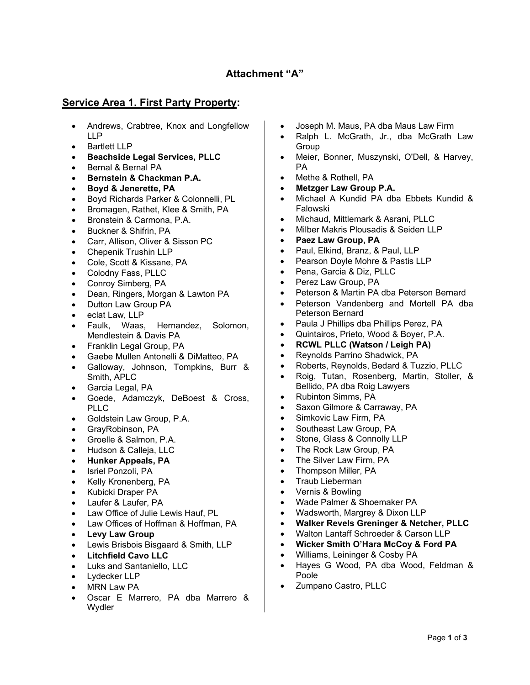#### **Attachment "A"**

#### **Service Area 1. First Party Property:**

- Andrews, Crabtree, Knox and Longfellow LLP
- Bartlett LLP
- **Beachside Legal Services, PLLC**
- Bernal & Bernal PA
- **Bernstein & Chackman P.A.**
- **Boyd & Jenerette, PA**
- Boyd Richards Parker & Colonnelli, PL
- Bromagen, Rathet, Klee & Smith, PA
- Bronstein & Carmona, P.A.
- Buckner & Shifrin, PA
- Carr, Allison, Oliver & Sisson PC
- Chepenik Trushin LLP
- Cole, Scott & Kissane, PA
- Colodny Fass, PLLC
- Conroy Simberg, PA
- Dean, Ringers, Morgan & Lawton PA
- Dutton Law Group PA
- eclat Law, LLP
- Faulk, Waas, Hernandez, Solomon, Mendlestein & Davis PA
- Franklin Legal Group, PA
- Gaebe Mullen Antonelli & DiMatteo, PA
- Galloway, Johnson, Tompkins, Burr & Smith, APLC
- Garcia Legal, PA
- Goede, Adamczyk, DeBoest & Cross, PLLC
- Goldstein Law Group, P.A.
- GrayRobinson, PA
- Groelle & Salmon, P.A.
- Hudson & Calleja, LLC
- **Hunker Appeals, PA**
- Isriel Ponzoli, PA
- Kelly Kronenberg, PA
- Kubicki Draper PA
- Laufer & Laufer, PA
- Law Office of Julie Lewis Hauf, PL
- Law Offices of Hoffman & Hoffman, PA
- **Levy Law Group**
- Lewis Brisbois Bisgaard & Smith, LLP
- **Litchfield Cavo LLC**
- Luks and Santaniello, LLC
- Lydecker LLP
- **MRN Law PA**
- Oscar E Marrero, PA dba Marrero & Wydler
- Joseph M. Maus, PA dba Maus Law Firm
- Ralph L. McGrath, Jr., dba McGrath Law Group
- Meier, Bonner, Muszynski, O'Dell, & Harvey, PA
- Methe & Rothell, PA
- **Metzger Law Group P.A.**
- Michael A Kundid PA dba Ebbets Kundid & Falowski
- Michaud, Mittlemark & Asrani, PLLC
- Milber Makris Plousadis & Seiden LLP
- **Paez Law Group, PA**
- Paul, Elkind, Branz, & Paul, LLP
- Pearson Doyle Mohre & Pastis LLP
- Pena, Garcia & Diz, PLLC
- Perez Law Group, PA
- Peterson & Martin PA dba Peterson Bernard
- Peterson Vandenberg and Mortell PA dba Peterson Bernard
- Paula J Phillips dba Phillips Perez, PA
- Quintairos, Prieto, Wood & Boyer, P.A.
- **RCWL PLLC (Watson / Leigh PA)**
- Reynolds Parrino Shadwick, PA
- Roberts, Reynolds, Bedard & Tuzzio, PLLC
- Roig, Tutan, Rosenberg, Martin, Stoller, & Bellido, PA dba Roig Lawyers
- Rubinton Simms, PA
- Saxon Gilmore & Carraway, PA
- Simkovic Law Firm, PA
- Southeast Law Group, PA
- Stone, Glass & Connolly LLP
- The Rock Law Group, PA
- The Silver Law Firm, PA
- Thompson Miller, PA
- Traub Lieberman
- Vernis & Bowling
- Wade Palmer & Shoemaker PA
- Wadsworth, Margrey & Dixon LLP
- **Walker Revels Greninger & Netcher, PLLC**
- Walton Lantaff Schroeder & Carson LLP
- **Wicker Smith O'Hara McCoy & Ford PA**
- Williams, Leininger & Cosby PA
- Hayes G Wood, PA dba Wood, Feldman & Poole
- Zumpano Castro, PLLC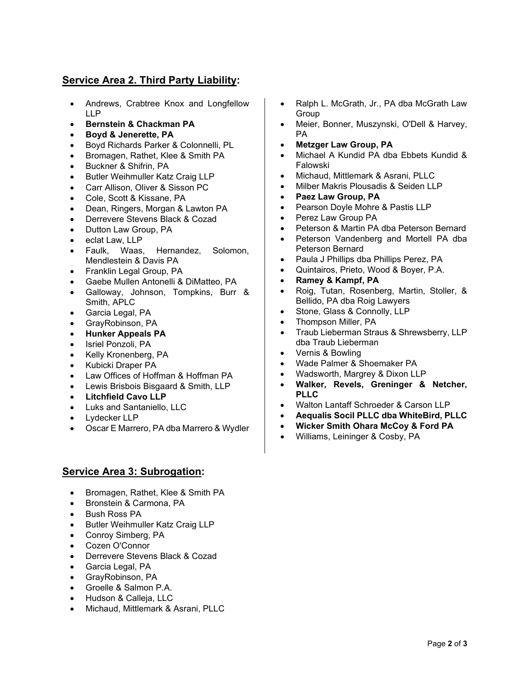#### **Service Area 2. Third Party Liability:**

- Andrews, Crabtree Knox and Longfellow LLP
- **Bernstein & Chackman PA**
- **Boyd & Jenerette, PA**
- Boyd Richards Parker & Colonnelli, PL
- Bromagen, Rathet, Klee & Smith PA
- Buckner & Shifrin, PA
- Butler Weihmuller Katz Craig LLP
- Carr Allison, Oliver & Sisson PC
- Cole, Scott & Kissane, PA
- Dean, Ringers, Morgan & Lawton PA
- Derrevere Stevens Black & Cozad
- Dutton Law Group, PA
- eclat Law, LLP
- Faulk, Waas, Hernandez, Solomon, Mendlestein & Davis PA
- Franklin Legal Group, PA
- Gaebe Mullen Antonelli & DiMatteo, PA
- Galloway, Johnson, Tompkins, Burr & Smith, APLC
- Garcia Legal, PA
- GrayRobinson, PA
- **Hunker Appeals PA**
- Isriel Ponzoli, PA
- Kelly Kronenberg, PA
- Kubicki Draper PA
- Law Offices of Hoffman & Hoffman PA
- Lewis Brisbois Bisgaard & Smith, LLP
- **Litchfield Cavo LLP**
- Luks and Santaniello, LLC
- Lydecker LLP
- Oscar E Marrero, PA dba Marrero & Wydler

#### **Service Area 3: Subrogation:**

- Bromagen, Rathet, Klee & Smith PA
- Bronstein & Carmona, PA
- Bush Ross PA
- Butler Weihmuller Katz Craig LLP
- Conroy Simberg, PA
- Cozen O'Connor
- Derrevere Stevens Black & Cozad
- Garcia Legal, PA
- GrayRobinson, PA
- Groelle & Salmon P.A.
- Hudson & Calleja, LLC
- Michaud, Mittlemark & Asrani, PLLC
- Ralph L. McGrath, Jr., PA dba McGrath Law Group
- Meier, Bonner, Muszynski, O'Dell & Harvey, PA
- **Metzger Law Group, PA**
- Michael A Kundid PA dba Ebbets Kundid & Falowski
- Michaud, Mittlemark & Asrani, PLLC
- Milber Makris Plousadis & Seiden LLP
- **Paez Law Group, PA**
- Pearson Doyle Mohre & Pastis LLP
- Perez Law Group PA
- Peterson & Martin PA dba Peterson Bernard
- Peterson Vandenberg and Mortell PA dba Peterson Bernard
- Paula J Phillips dba Phillips Perez, PA
- Quintairos, Prieto, Wood & Boyer, P.A.
- **Ramey & Kampf, PA**
- Roig, Tutan, Rosenberg, Martin, Stoller, & Bellido, PA dba Roig Lawyers
- Stone, Glass & Connolly, LLP
- Thompson Miller, PA
- Traub Lieberman Straus & Shrewsberry, LLP dba Traub Lieberman
- Vernis & Bowling
- Wade Palmer & Shoemaker PA
- Wadsworth, Margrey & Dixon LLP
- **Walker, Revels, Greninger & Netcher, PLLC**
- Walton Lantaff Schroeder & Carson LLP
- **Aequalis Socil PLLC dba WhiteBird, PLLC**
- **Wicker Smith Ohara McCoy & Ford PA**
- Williams, Leininger & Cosby, PA